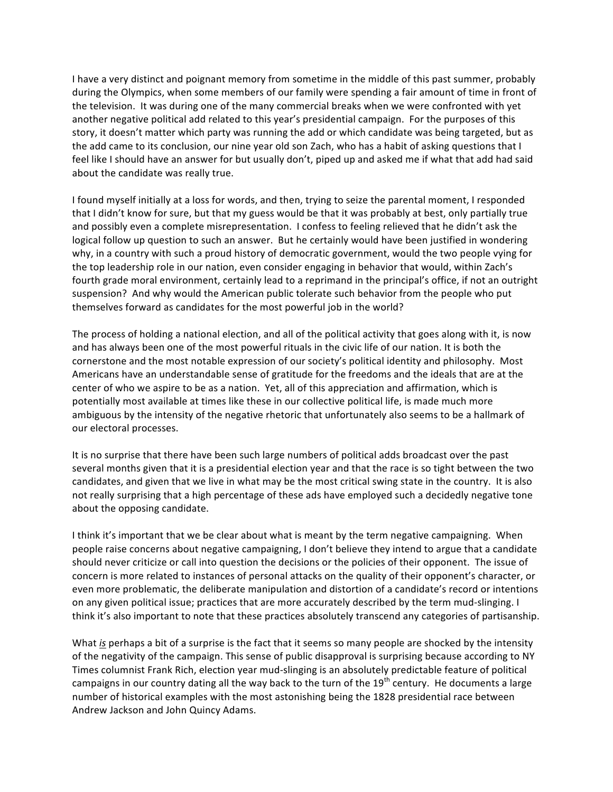I have a very distinct and poignant memory from sometime in the middle of this past summer, probably during the Olympics, when some members of our family were spending a fair amount of time in front of the television. It was during one of the many commercial breaks when we were confronted with yet another negative political add related to this year's presidential campaign. For the purposes of this story, it doesn't matter which party was running the add or which candidate was being targeted, but as the add came to its conclusion, our nine year old son Zach, who has a habit of asking questions that I feel like I should have an answer for but usually don't, piped up and asked me if what that add had said about
the
candidate
was
really
true.

I found myself initially at a loss for words, and then, trying to seize the parental moment, I responded that I didn't know for sure, but that my guess would be that it was probably at best, only partially true and possibly even a complete misrepresentation. I confess to feeling relieved that he didn't ask the logical follow up question to such an answer. But he certainly would have been justified in wondering why, in a country with such a proud history of democratic government, would the two people vying for the top leadership role in our nation, even consider engaging in behavior that would, within Zach's fourth grade moral environment, certainly lead to a reprimand in the principal's office, if not an outright suspension? And why would the American public tolerate such behavior from the people who put themselves
forward
as
candidates
for
the
most
powerful
job
in
the
world?

The process of holding a national election, and all of the political activity that goes along with it, is now and has always been one of the most powerful rituals in the civic life of our nation. It is both the cornerstone
and
the
most
notable
expression
of
our
society's
political
identity
and
philosophy.

Most Americans have an understandable sense of gratitude for the freedoms and the ideals that are at the center
of
who
we
aspire
to
be
as
a
nation.

Yet,
all
of
this
appreciation
and
affirmation,
which
is potentially most available at times like these in our collective political life, is made much more ambiguous by the intensity of the negative rhetoric that unfortunately also seems to be a hallmark of our
electoral
processes.

It is no surprise that there have been such large numbers of political adds broadcast over the past several months given that it is a presidential election year and that the race is so tight between the two candidates, and given that we live in what may be the most critical swing state in the country. It is also not
really
surprising
that
a
high
percentage
of
these
ads
have
employed
such
a
decidedly
negative
tone about
the
opposing
candidate.

I think it's important that we be clear about what is meant by the term negative campaigning. When people raise concerns about negative campaigning, I don't believe they intend to argue that a candidate should never criticize or call into question the decisions or the policies of their opponent. The issue of concern
is
more
related
to
instances
of
personal
attacks
on
the
quality
of
their
opponent's
character,
or even
more
problematic,
the
deliberate
manipulation
and
distortion
of
a
candidate's
record
or
intentions on any given political issue; practices that are more accurately described by the term mud-slinging. I think it's also important to note that these practices absolutely transcend any categories of partisanship.

What is perhaps a bit of a surprise is the fact that it seems so many people are shocked by the intensity of the negativity of the campaign. This sense of public disapproval is surprising because according to NY Times columnist Frank Rich, election year mud-slinging is an absolutely predictable feature of political campaigns in our country dating all the way back to the turn of the 19<sup>th</sup> century. He documents a large number
of
historical
examples
with
the
most
astonishing being
the
1828
presidential
race
between Andrew
Jackson
and
John
Quincy
Adams.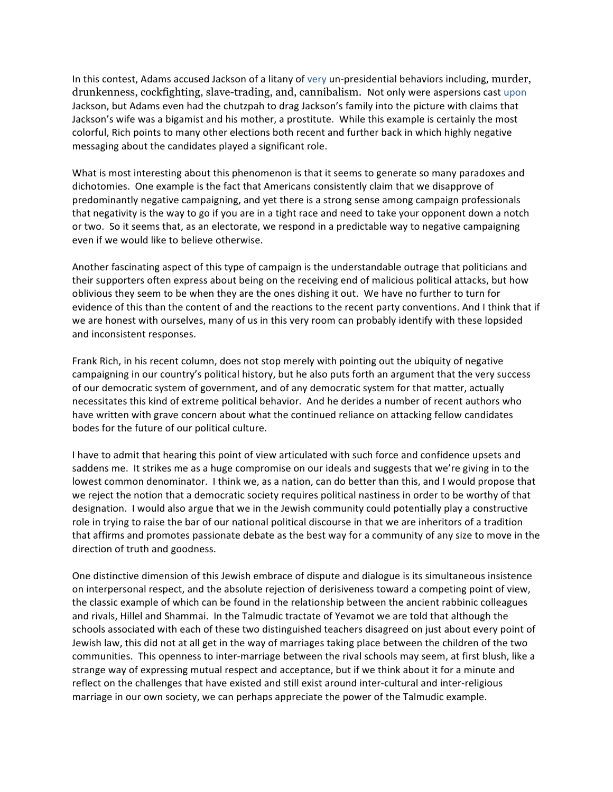In this contest, Adams accused Jackson of a litany of very un-presidential behaviors including, murder, drunkenness, cockfighting, slave-trading, and, cannibalism. Not
only
were
aspersions
cast
upon Jackson, but Adams even had the chutzpah to drag Jackson's family into the picture with claims that Jackson's wife was a bigamist and his mother, a prostitute. While this example is certainly the most colorful,
Rich
points
to
many
other
elections
both
recent
and
further
back
in
which
highly negative messaging
about
the
candidates
played
a
significant
role.

What is most interesting about this phenomenon is that it seems to generate so many paradoxes and dichotomies. One example is the fact that Americans consistently claim that we disapprove of predominantly
negative
campaigning,
and
yet
there
is
a
strong
sense
among
campaign
professionals that negativity is the way to go if you are in a tight race and need to take your opponent down a notch or
two.

So
it
seems
that,
as
an
electorate,
we
respond
in
a
predictable
way
to
negative
campaigning even
if
we
would
like
to
believe
otherwise.

Another fascinating aspect of this type of campaign is the understandable outrage that politicians and their supporters often express about being on the receiving end of malicious political attacks, but how oblivious they seem to be when they are the ones dishing it out. We have no further to turn for evidence of this than the content of and the reactions to the recent party conventions. And I think that if we are honest with ourselves, many of us in this very room can probably identify with these lopsided and
inconsistent
responses.

Frank Rich, in his recent column, does not stop merely with pointing out the ubiquity of negative campaigning in our country's political history, but he also puts forth an argument that the very success of
our
democratic
system
of
government,
and
of
any
democratic
system
for
that
matter, actually necessitates this kind of extreme political behavior. And he derides a number of recent authors who have written with grave concern about what the continued reliance on attacking fellow candidates bodes
for
the
future
of
our
political
culture.

I have to admit that hearing this point of view articulated with such force and confidence upsets and saddens me. It strikes me as a huge compromise on our ideals and suggests that we're giving in to the lowest common denominator. I think we, as a nation, can do better than this, and I would propose that we reject the notion that a democratic society requires political nastiness in order to be worthy of that designation.

I
would
also
argue
that
we
in
the
Jewish
community
could
potentially
play
a
constructive role in trying to raise the bar of our national political discourse in that we are inheritors of a tradition that
affirms
and
promotes
passionate
debate
as
the
best
way
for
a
community
of
any
size
to
move
in
the direction
of
truth
and
goodness.

One
distinctive
dimension
of
this
Jewish
embrace
of
dispute
and
dialogue
is
its
simultaneous
insistence on interpersonal respect, and the absolute rejection of derisiveness toward a competing point of view, the
classic
example
of
which
can
be
found
in
the
relationship
between
the
ancient
rabbinic
colleagues and rivals, Hillel and Shammai. In the Talmudic tractate of Yevamot we are told that although the schools associated with each of these two distinguished teachers disagreed on just about every point of Jewish law, this did not at all get in the way of marriages taking place between the children of the two communities. This openness to inter-marriage between the rival schools may seem, at first blush, like a strange
way
of
expressing
mutual
respect
and
acceptance,
but
if
we
think
about
it
for
a
minute
and reflect on the challenges that have existed and still exist around inter-cultural and inter-religious marriage in our own society, we can perhaps appreciate the power of the Talmudic example.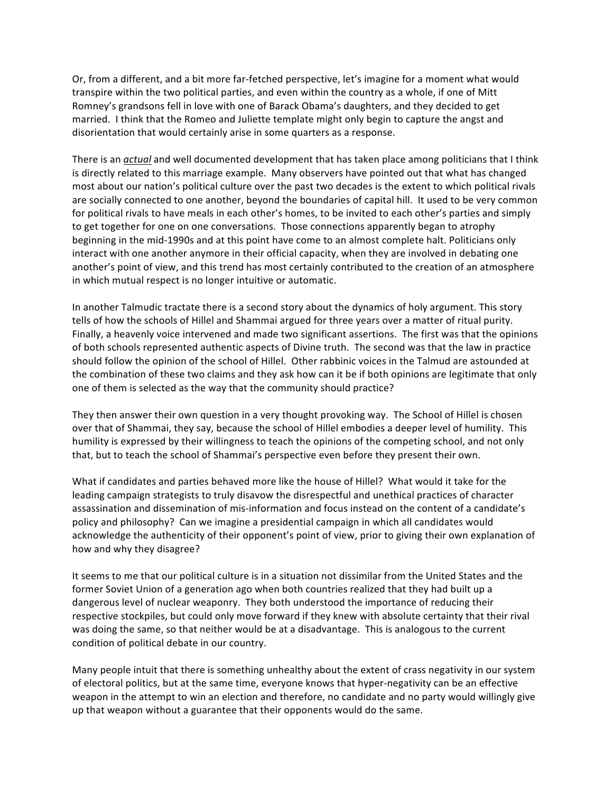Or, from a different, and a bit more far-fetched perspective, let's imagine for a moment what would transpire within the two political parties, and even within the country as a whole, if one of Mitt Romney's grandsons fell in love with one of Barack Obama's daughters, and they decided to get married. I think that the Romeo and Juliette template might only begin to capture the angst and disorientation
that
would
certainly
arise
in
some
quarters
as
a
response.

There is an *actual* and well documented development that has taken place among politicians that I think is directly related to this marriage example. Many observers have pointed out that what has changed most about our nation's political culture over the past two decades is the extent to which political rivals are socially connected to one another, beyond the boundaries of capital hill. It used to be very common for political rivals to have meals in each other's homes, to be invited to each other's parties and simply to get together for one on one conversations. Those connections apparently began to atrophy beginning in the mid-1990s and at this point have come to an almost complete halt. Politicians only interact with one another anymore in their official capacity, when they are involved in debating one another's point of view, and this trend has most certainly contributed to the creation of an atmosphere in
which
mutual
respect
is
no
longer
intuitive
or
automatic.

In another Talmudic tractate there is a second story about the dynamics of holy argument. This story tells of how the schools of Hillel and Shammai argued for three years over a matter of ritual purity. Finally, a heavenly voice intervened and made two significant assertions. The first was that the opinions of
both
schools
represented
authentic
aspects
of
Divine
truth.

The
second
was
that
the
law
in
practice should follow the opinion of the school of Hillel. Other rabbinic voices in the Talmud are astounded at the combination of these two claims and they ask how can it be if both opinions are legitimate that only one
of
them
is
selected
as
the
way
that
the
community
should
practice?

They then answer their own question in a very thought provoking way. The School of Hillel is chosen over that of Shammai, they say, because the school of Hillel embodies a deeper level of humility. This humility is expressed by their willingness to teach the opinions of the competing school, and not only that, but to teach the school of Shammai's perspective even before they present their own.

What if candidates and parties behaved more like the house of Hillel? What would it take for the leading campaign strategists to truly disavow the disrespectful and unethical practices of character assassination and dissemination of mis-information and focus instead on the content of a candidate's policy
and
philosophy?

Can
we
imagine
a
presidential
campaign
in
which
all
candidates
would acknowledge the authenticity of their opponent's point of view, prior to giving their own explanation of how
and
why
they
disagree?

It seems to me that our political culture is in a situation not dissimilar from the United States and the former Soviet Union of a generation ago when both countries realized that they had built up a dangerous level of nuclear weaponry. They both understood the importance of reducing their respective stockpiles, but could only move forward if they knew with absolute certainty that their rival was doing the same, so that neither would be at a disadvantage. This is analogous to the current condition
of
political
debate
in
our
country.

Many people intuit that there is something unhealthy about the extent of crass negativity in our system of
electoral
politics,
but
at
the
same
time,
everyone
knows
that
hyper‐negativity
can
be
an
effective weapon in the attempt to win an election and therefore, no candidate and no party would willingly give up
that
weapon
without
a
guarantee
that
their
opponents
would
do
the
same.